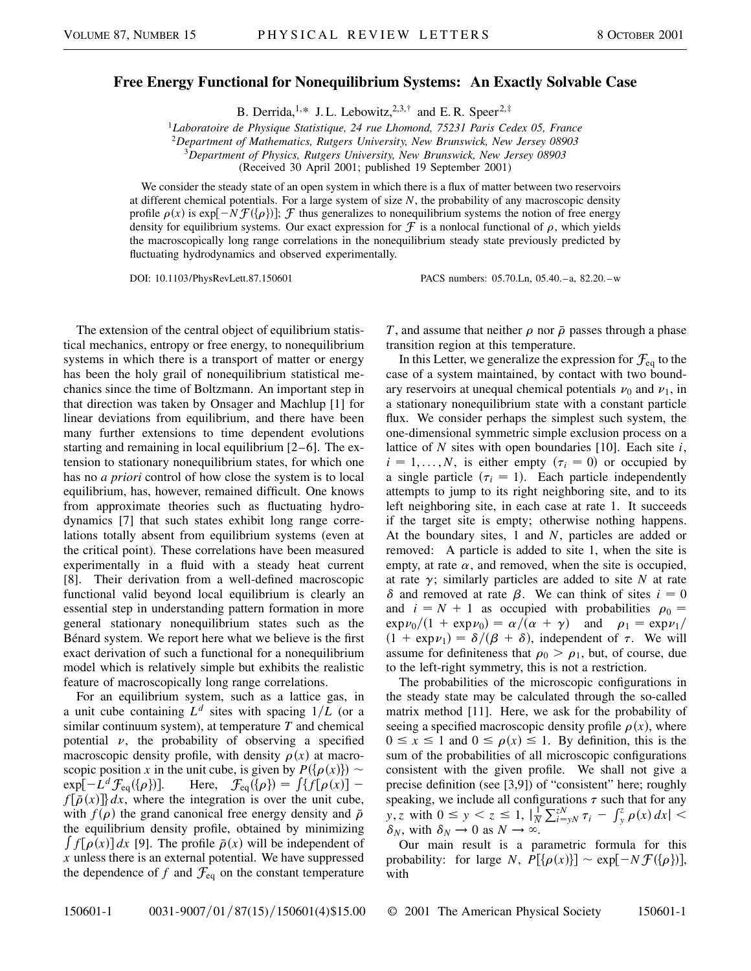## **Free Energy Functional for Nonequilibrium Systems: An Exactly Solvable Case**

B. Derrida,<sup>1,\*</sup> J. L. Lebowitz,<sup>2,3,†</sup> and E. R. Speer<sup>2,‡</sup>

<sup>1</sup>*Laboratoire de Physique Statistique, 24 rue Lhomond, 75231 Paris Cedex 05, France*

<sup>2</sup>*Department of Mathematics, Rutgers University, New Brunswick, New Jersey 08903*

<sup>3</sup>*Department of Physics, Rutgers University, New Brunswick, New Jersey 08903*

(Received 30 April 2001; published 19 September 2001)

We consider the steady state of an open system in which there is a flux of matter between two reservoirs at different chemical potentials. For a large system of size *N*, the probability of any macroscopic density profile  $\rho(x)$  is  $\exp[-N \mathcal{F}(\{\rho\})]$ ;  $\mathcal{F}$  thus generalizes to nonequilibrium systems the notion of free energy density for equilibrium systems. Our exact expression for  $\mathcal F$  is a nonlocal functional of  $\rho$ , which yields the macroscopically long range correlations in the nonequilibrium steady state previously predicted by fluctuating hydrodynamics and observed experimentally.

DOI: 10.1103/PhysRevLett.87.150601 PACS numbers: 05.70.Ln, 05.40.–a, 82.20.–w

The extension of the central object of equilibrium statistical mechanics, entropy or free energy, to nonequilibrium systems in which there is a transport of matter or energy has been the holy grail of nonequilibrium statistical mechanics since the time of Boltzmann. An important step in that direction was taken by Onsager and Machlup [1] for linear deviations from equilibrium, and there have been many further extensions to time dependent evolutions starting and remaining in local equilibrium [2–6]. The extension to stationary nonequilibrium states, for which one has no *a priori* control of how close the system is to local equilibrium, has, however, remained difficult. One knows from approximate theories such as fluctuating hydrodynamics [7] that such states exhibit long range correlations totally absent from equilibrium systems (even at the critical point). These correlations have been measured experimentally in a fluid with a steady heat current [8]. Their derivation from a well-defined macroscopic functional valid beyond local equilibrium is clearly an essential step in understanding pattern formation in more general stationary nonequilibrium states such as the Bénard system. We report here what we believe is the first exact derivation of such a functional for a nonequilibrium model which is relatively simple but exhibits the realistic feature of macroscopically long range correlations.

For an equilibrium system, such as a lattice gas, in a unit cube containing  $L^d$  sites with spacing  $1/L$  (or a similar continuum system), at temperature *T* and chemical potential  $\nu$ , the probability of observing a specified macroscopic density profile, with density  $\rho(x)$  at macroscopic position *x* in the unit cube, is given by  $P({\varphi(x)}) \sim$  $\exp[-L^d \mathcal{F}_{eq}(\{\rho\})].$ if the unit clube, is given by  $F(\phi(x)) =$ <br>  $\int \{f[\rho(x)]$  $f[\bar{\rho}(x)]$  dx, where the integration is over the unit cube, with  $f(\rho)$  the grand canonical free energy density and  $\bar{\rho}$ the equilibrium density profile, obtained by minimizing<br> $\int_{\mathbb{R}} f(x) dx = \int_{\mathbb{R}} f(x) dx$  $f[\rho(x)]dx$  [9]. The profile  $\bar{\rho}(x)$  will be independent of *x* unless there is an external potential. We have suppressed the dependence of  $f$  and  $\mathcal{F}_{eq}$  on the constant temperature *T*, and assume that neither  $\rho$  nor  $\bar{\rho}$  passes through a phase transition region at this temperature.

In this Letter, we generalize the expression for  $\mathcal{F}_{eq}$  to the case of a system maintained, by contact with two boundary reservoirs at unequal chemical potentials  $\nu_0$  and  $\nu_1$ , in a stationary nonequilibrium state with a constant particle flux. We consider perhaps the simplest such system, the one-dimensional symmetric simple exclusion process on a lattice of *N* sites with open boundaries [10]. Each site *i*,  $i = 1, \ldots, N$ , is either empty  $(\tau_i = 0)$  or occupied by a single particle  $(\tau_i = 1)$ . Each particle independently attempts to jump to its right neighboring site, and to its left neighboring site, in each case at rate 1. It succeeds if the target site is empty; otherwise nothing happens. At the boundary sites, 1 and *N*, particles are added or removed: A particle is added to site 1, when the site is empty, at rate  $\alpha$ , and removed, when the site is occupied, at rate  $\gamma$ ; similarly particles are added to site *N* at rate  $\delta$  and removed at rate  $\beta$ . We can think of sites  $i = 0$ and  $i = N + 1$  as occupied with probabilities  $\rho_0 =$  $\exp \nu_0/(1 + \exp \nu_0) = \alpha/(\alpha + \gamma)$  and  $\rho_1 = \exp \nu_1/$  $(1 + \exp \nu_1) = \delta/(\beta + \delta)$ , independent of  $\tau$ . We will assume for definiteness that  $\rho_0 > \rho_1$ , but, of course, due to the left-right symmetry, this is not a restriction.

The probabilities of the microscopic configurations in the steady state may be calculated through the so-called matrix method [11]. Here, we ask for the probability of seeing a specified macroscopic density profile  $\rho(x)$ , where  $0 \le x \le 1$  and  $0 \le \rho(x) \le 1$ . By definition, this is the sum of the probabilities of all microscopic configurations consistent with the given profile. We shall not give a precise definition (see [3,9]) of "consistent" here; roughly speaking, we include all configurations  $\tau$  such that for any *y*, *z* with  $0 \le y \le z \le 1$ ,  $\frac{1}{N}$ *N*  $\sum_{i=yN}^{zN} \tau_i - \int_y^z \rho(x) dx$  | <  $\delta_N$ , with  $\delta_N \to 0$  as  $N \to \infty$ .

Our main result is a parametric formula for this probability: for large *N*,  $P[\{\rho(x)\}] \sim \exp[-N \mathcal{F}(\{\rho\})],$ with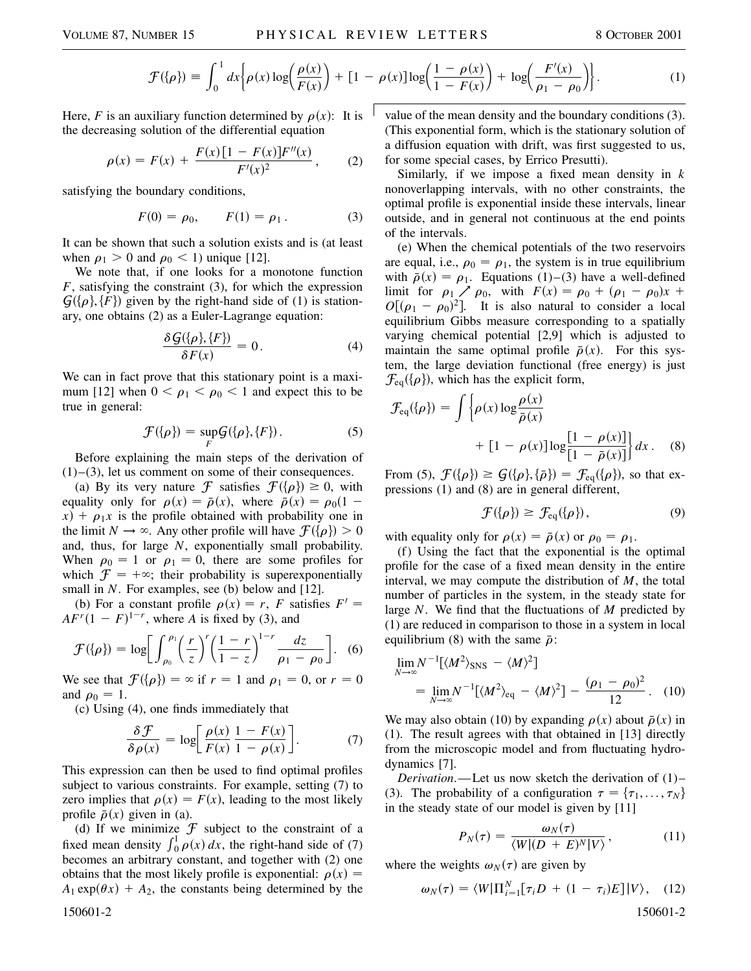$$
\mathcal{F}(\{\rho\}) = \int_0^1 dx \bigg\{ \rho(x) \log \bigg( \frac{\rho(x)}{F(x)} \bigg) + [1 - \rho(x)] \log \bigg( \frac{1 - \rho(x)}{1 - F(x)} \bigg) + \log \bigg( \frac{F'(x)}{\rho_1 - \rho_0} \bigg) \bigg\}.
$$
 (1)

Here, *F* is an auxiliary function determined by  $\rho(x)$ : It is the decreasing solution of the differential equation

$$
\rho(x) = F(x) + \frac{F(x)[1 - F(x)]F''(x)}{F'(x)^2},
$$
 (2)

satisfying the boundary conditions,

$$
F(0) = \rho_0, \qquad F(1) = \rho_1. \tag{3}
$$

It can be shown that such a solution exists and is (at least when  $\rho_1 > 0$  and  $\rho_0 < 1$ ) unique [12].

We note that, if one looks for a monotone function *F*, satisfying the constraint (3), for which the expression  $\mathcal{G}(\lbrace \rho \rbrace, \lbrace F \rbrace)$  given by the right-hand side of (1) is stationary, one obtains (2) as a Euler-Lagrange equation:

$$
\frac{\delta G(\{\rho\},\{F\})}{\delta F(x)} = 0.
$$
\n(4)

We can in fact prove that this stationary point is a maximum [12] when  $0 < \rho_1 < \rho_0 < 1$  and expect this to be true in general:

$$
\mathcal{F}(\{\rho\}) = \sup_{F} \mathcal{G}(\{\rho\}, \{F\}).
$$
 (5)

Before explaining the main steps of the derivation of  $(1)$ – $(3)$ , let us comment on some of their consequences.

(a) By its very nature  $\mathcal F$  satisfies  $\mathcal F({\{\rho\}}) \geq 0$ , with equality only for  $\rho(x) = \bar{\rho}(x)$ , where  $\bar{\rho}(x) = \rho_0(1$  $f(x) + \rho_1 x$  is the profile obtained with probability one in the limit  $N \to \infty$ . Any other profile will have  $\mathcal{F}(\{\rho\}) > 0$ and, thus, for large *N*, exponentially small probability. When  $\rho_0 = 1$  or  $\rho_1 = 0$ , there are some profiles for which  $\mathcal{F} = +\infty$ ; their probability is superexponentially small in *N*. For examples, see (b) below and [12].

(b) For a constant profile  $\rho(x) = r$ , *F* satisfies  $F' =$  $AF<sup>r</sup>(1 - F)<sup>1-r</sup>$ , where *A* is fixed by (3), and

$$
\mathcal{F}(\{\rho\}) = \log \bigg[ \int_{\rho_0}^{\rho_1} \bigg( \frac{r}{z} \bigg)^r \bigg( \frac{1-r}{1-z} \bigg)^{1-r} \frac{dz}{\rho_1 - \rho_0} \bigg]. \tag{6}
$$

We see that  $\mathcal{F}(\{\rho\}) = \infty$  if  $r = 1$  and  $\rho_1 = 0$ , or  $r = 0$ and  $\rho_0 = 1$ .

(c) Using (4), one finds immediately that

$$
\frac{\delta \mathcal{F}}{\delta \rho(x)} = \log \left[ \frac{\rho(x)}{F(x)} \frac{1 - F(x)}{1 - \rho(x)} \right].
$$
 (7)

This expression can then be used to find optimal profiles subject to various constraints. For example, setting (7) to zero implies that  $\rho(x) = F(x)$ , leading to the most likely profile  $\bar{\rho}(x)$  given in (a).

(d) If we minimize  $\mathcal F$  subject to the constraint of a fixed mean density  $\int_0^1 \rho(x) dx$ , the right-hand side of (7) becomes an arbitrary constant, and together with (2) one obtains that the most likely profile is exponential:  $\rho(x)$  =  $A_1 \exp(\theta x) + A_2$ , the constants being determined by the

value of the mean density and the boundary conditions (3). (This exponential form, which is the stationary solution of a diffusion equation with drift, was first suggested to us, for some special cases, by Errico Presutti).

Similarly, if we impose a fixed mean density in *k* nonoverlapping intervals, with no other constraints, the optimal profile is exponential inside these intervals, linear outside, and in general not continuous at the end points of the intervals.

(e) When the chemical potentials of the two reservoirs are equal, i.e.,  $\rho_0 = \rho_1$ , the system is in true equilibrium with  $\bar{\rho}(x) = \rho_1$ . Equations (1)–(3) have a well-defined limit for  $\rho_1 \nearrow \rho_0$ , with  $F(x) = \rho_0 + (\rho_1 - \rho_0)x +$  $O[(\rho_1 - \rho_0)^2]$ . It is also natural to consider a local equilibrium Gibbs measure corresponding to a spatially varying chemical potential [2,9] which is adjusted to maintain the same optimal profile  $\bar{\rho}(x)$ . For this system, the large deviation functional (free energy) is just  $\mathcal{F}_{eq}(\{\rho\})$ , which has the explicit form,

$$
\mathcal{F}_{eq}(\{\rho\}) = \int \left\{ \rho(x) \log \frac{\rho(x)}{\bar{\rho}(x)} + \left[1 - \rho(x)\right] \log \frac{\left[1 - \rho(x)\right]}{\left[1 - \bar{\rho}(x)\right]} \right\} dx. \quad (8)
$$

From (5),  $\mathcal{F}({\{\rho\}}) \ge G({\{\rho\}}, {\{\bar{\rho}\}}) = \mathcal{F}_{eq}({\{\rho\}})$ , so that expressions (1) and (8) are in general different,

$$
\mathcal{F}(\{\rho\}) \ge \mathcal{F}_{eq}(\{\rho\}),\tag{9}
$$

with equality only for  $\rho(x) = \bar{\rho}(x)$  or  $\rho_0 = \rho_1$ .

(f) Using the fact that the exponential is the optimal profile for the case of a fixed mean density in the entire interval, we may compute the distribution of *M*, the total number of particles in the system, in the steady state for large *N*. We find that the fluctuations of *M* predicted by (1) are reduced in comparison to those in a system in local equilibrium (8) with the same  $\bar{\rho}$ :

$$
\lim_{N \to \infty} N^{-1} [\langle M^2 \rangle_{\text{SNS}} - \langle M \rangle^2]
$$
  
= 
$$
\lim_{N \to \infty} N^{-1} [\langle M^2 \rangle_{\text{eq}} - \langle M \rangle^2] - \frac{(\rho_1 - \rho_0)^2}{12}.
$$
 (10)

We may also obtain (10) by expanding  $\rho(x)$  about  $\bar{\rho}(x)$  in (1). The result agrees with that obtained in [13] directly from the microscopic model and from fluctuating hydrodynamics [7].

*Derivation*.—Let us now sketch the derivation of (1)– (3). The probability of a configuration  $\tau = {\tau_1, \ldots, \tau_N}$ in the steady state of our model is given by [11]

$$
P_N(\tau) = \frac{\omega_N(\tau)}{\langle W | (D + E)^N | V \rangle},\tag{11}
$$

where the weights  $\omega_N(\tau)$  are given by

$$
\omega_N(\tau) = \langle W | \Pi_{i=1}^N[\tau_i D + (1 - \tau_i)E] | V \rangle, \quad (12)
$$

150601-2 150601-2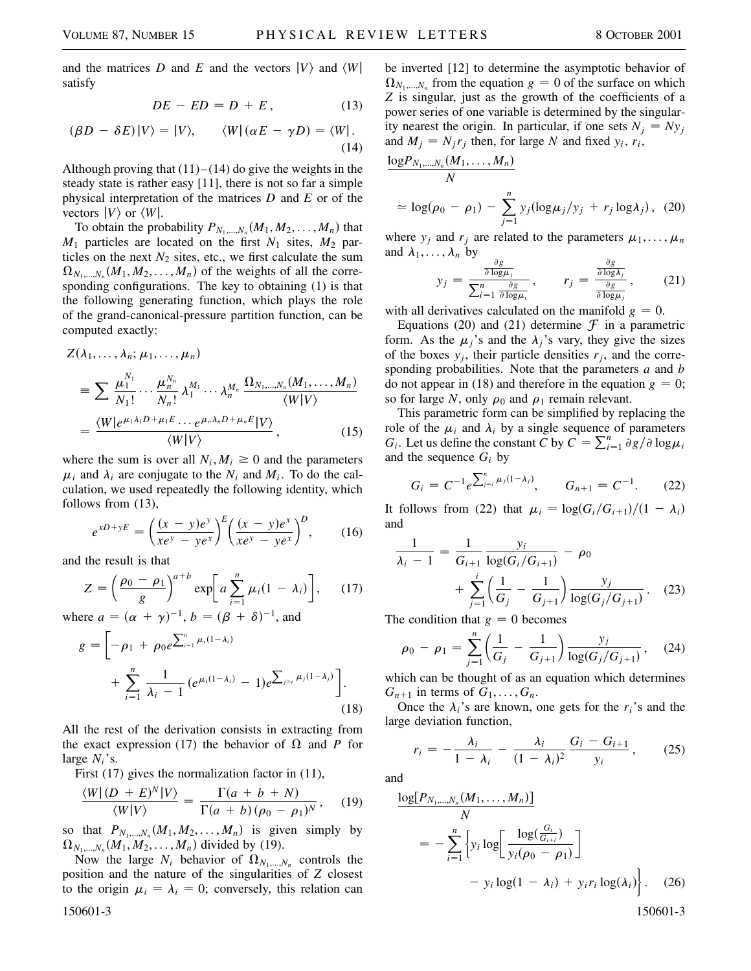and the matrices *D* and *E* and the vectors  $|V\rangle$  and  $\langle W|$ satisfy

$$
DE - ED = D + E, \qquad (13)
$$

$$
(\beta D - \delta E)|V\rangle = |V\rangle, \qquad \langle W|(\alpha E - \gamma D) = \langle W|.
$$
\n(14)

Although proving that  $(11)$ – $(14)$  do give the weights in the steady state is rather easy [11], there is not so far a simple physical interpretation of the matrices *D* and *E* or of the vectors  $|V\rangle$  or  $\langle W|$ .

To obtain the probability  $P_{N_1,...,N_n}(M_1, M_2,...,M_n)$  that  $M_1$  particles are located on the first  $N_1$  sites,  $M_2$  particles on the next  $N_2$  sites, etc., we first calculate the sum  $\Omega_{N_1,...,N_n}(M_1, M_2,...,M_n)$  of the weights of all the corresponding configurations. The key to obtaining (1) is that the following generating function, which plays the role of the grand-canonical-pressure partition function, can be computed exactly:

$$
Z(\lambda_1, ..., \lambda_n; \mu_1, ..., \mu_n)
$$
  
\n
$$
\equiv \sum \frac{\mu_1^{N_1}}{N_1!} \cdots \frac{\mu_n^{N_n}}{N_n!} \lambda_1^{M_1} \cdots \lambda_n^{M_n} \frac{\Omega_{N_1, ..., N_n}(M_1, ..., M_n)}{\langle W | V \rangle}
$$
  
\n
$$
= \frac{\langle W | e^{\mu_1 \lambda_1 D + \mu_1 E} \cdots e^{\mu_n \lambda_n D + \mu_n E} | V \rangle}{\langle W | V \rangle}, \qquad (15)
$$

where the sum is over all  $N_i$ ,  $M_i \geq 0$  and the parameters  $\mu_i$  and  $\lambda_i$  are conjugate to the  $N_i$  and  $M_i$ . To do the calculation, we used repeatedly the following identity, which follows from (13),

$$
e^{xD+yE} = \left(\frac{(x-y)e^y}{xe^y - ye^x}\right)^E \left(\frac{(x-y)e^x}{xe^y - ye^x}\right)^D, \qquad (16)
$$

and the result is that

$$
Z = \left(\frac{\rho_0 - \rho_1}{g}\right)^{a+b} \exp\left[a\sum_{i=1}^n \mu_i (1 - \lambda_i)\right], \qquad (17)
$$

where  $a = (\alpha + \gamma)^{-1}$ ,  $b = (\beta + \delta)^{-1}$ , and ∑

$$
g = \left[ -\rho_1 + \rho_0 e^{\sum_{i=1}^n \mu_i (1-\lambda_i)} + \sum_{i=1}^n \frac{1}{\lambda_i - 1} \left( e^{\mu_i (1-\lambda_i)} - 1 \right) e^{\sum_{j>i} \mu_j (1-\lambda_j)} \right].
$$
\n(18)

All the rest of the derivation consists in extracting from the exact expression (17) the behavior of  $\Omega$  and *P* for large *Ni*'s.

First (17) gives the normalization factor in (11),

$$
\frac{\langle W|(D+E)^N|V\rangle}{\langle W|V\rangle} = \frac{\Gamma(a+b+N)}{\Gamma(a+b)(\rho_0-\rho_1)^N},\quad(19)
$$

so that  $P_{N_1,...,N_n}(M_1, M_2,..., M_n)$  is given simply by  $\Omega_{N_1,...,N_n}(M_1, M_2,...,M_n)$  divided by (19).

Now the large  $N_i$  behavior of  $\Omega_{N_1,\dots,N_n}$  controls the position and the nature of the singularities of *Z* closest to the origin  $\mu_i = \lambda_i = 0$ ; conversely, this relation can 150601-3 150601-3

be inverted [12] to determine the asymptotic behavior of  $\Omega_{N_1,...,N_n}$  from the equation  $g = 0$  of the surface on which *Z* is singular, just as the growth of the coefficients of a power series of one variable is determined by the singularity nearest the origin. In particular, if one sets  $N_i = Ny_i$ and  $M_i = N_i r_j$  then, for large *N* and fixed  $y_i, r_i$ ,

$$
\frac{\log P_{N_1,\dots,N_n}(M_1,\dots,M_n)}{N}
$$
  
\n
$$
\approx \log(\rho_0 - \rho_1) - \sum_{j=1}^n y_j (\log \mu_j/y_j + r_j \log \lambda_j), (20)
$$

where  $y_i$  and  $r_j$  are related to the parameters  $\mu_1, \ldots, \mu_n$ and  $\lambda_1, \ldots, \lambda_n$  by

$$
y_j = \frac{\frac{\partial g}{\partial \log \mu_j}}{\sum_{i=1}^n \frac{\partial g}{\partial \log \mu_i}}, \qquad r_j = \frac{\frac{\partial g}{\partial \log \lambda_j}}{\frac{\partial g}{\partial \log \mu_j}}, \qquad (21)
$$

with all derivatives calculated on the manifold  $g = 0$ .

Equations (20) and (21) determine  $\mathcal F$  in a parametric form. As the  $\mu_j$ 's and the  $\lambda_j$ 's vary, they give the sizes of the boxes  $y_i$ , their particle densities  $r_i$ , and the corresponding probabilities. Note that the parameters *a* and *b* do not appear in (18) and therefore in the equation  $g = 0$ ; so for large *N*, only  $\rho_0$  and  $\rho_1$  remain relevant.

This parametric form can be simplified by replacing the role of the  $\mu_i$  and  $\lambda_i$  by a single sequence of parameters *G<sub>i</sub>*. Let us define the constant *C* by  $C = \sum_{i=1}^{n} \frac{\partial g}{\partial \theta} \log \mu_i$ and the sequence  $G_i$  by

$$
G_i = C^{-1} e^{\sum_{j=i}^{n} \mu_j (1 - \lambda_j)}, \qquad G_{n+1} = C^{-1}.
$$
 (22)

It follows from (22) that  $\mu_i = \log(G_i/G_{i+1})/(1 - \lambda_i)$ and

$$
\frac{1}{\lambda_i - 1} = \frac{1}{G_{i+1}} \frac{y_i}{\log(G_i/G_{i+1})} - \rho_0
$$

$$
+ \sum_{j=1}^i \left(\frac{1}{G_j} - \frac{1}{G_{j+1}}\right) \frac{y_j}{\log(G_j/G_{j+1})}.
$$
 (23)

The condition that  $g = 0$  becomes

$$
\rho_0 - \rho_1 = \sum_{j=1}^n \left( \frac{1}{G_j} - \frac{1}{G_{j+1}} \right) \frac{y_j}{\log(G_j/G_{j+1})}, \quad (24)
$$

which can be thought of as an equation which determines  $G_{n+1}$  in terms of  $G_1, \ldots, G_n$ .

Once the  $\lambda_i$ 's are known, one gets for the  $r_i$ 's and the large deviation function,

$$
r_i = -\frac{\lambda_i}{1 - \lambda_i} - \frac{\lambda_i}{(1 - \lambda_i)^2} \frac{G_i - G_{i+1}}{y_i},\qquad(25)
$$

and

$$
\frac{\log[P_{N_1,...,N_n}(M_1,...,M_n)]}{N} = -\sum_{i=1}^n \left\{ y_i \log \left[ \frac{\log(\frac{G_i}{G_{i+1}})}{y_i(\rho_0 - \rho_1)} \right] - y_i \log(1 - \lambda_i) + y_i r_i \log(\lambda_i) \right\}.
$$
 (26)